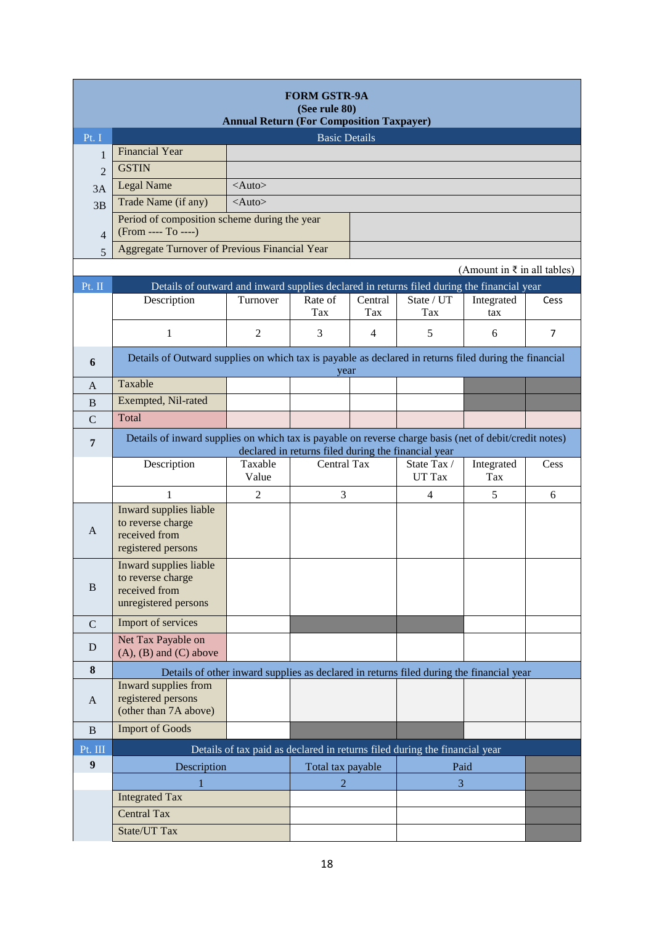| <b>FORM GSTR-9A</b><br>(See rule 80)<br><b>Annual Return (For Composition Taxpayer)</b> |                                                                                                       |                                                                                                                                                               |                   |                |                                                                                         |                                        |                |
|-----------------------------------------------------------------------------------------|-------------------------------------------------------------------------------------------------------|---------------------------------------------------------------------------------------------------------------------------------------------------------------|-------------------|----------------|-----------------------------------------------------------------------------------------|----------------------------------------|----------------|
| Pt. I                                                                                   | <b>Basic Details</b>                                                                                  |                                                                                                                                                               |                   |                |                                                                                         |                                        |                |
| 1                                                                                       | <b>Financial Year</b>                                                                                 |                                                                                                                                                               |                   |                |                                                                                         |                                        |                |
| $\overline{c}$                                                                          | <b>GSTIN</b>                                                                                          |                                                                                                                                                               |                   |                |                                                                                         |                                        |                |
| 3A                                                                                      | Legal Name                                                                                            | $<$ Auto $>$                                                                                                                                                  |                   |                |                                                                                         |                                        |                |
| 3B                                                                                      | Trade Name (if any)                                                                                   | $<$ Auto $>$                                                                                                                                                  |                   |                |                                                                                         |                                        |                |
| $\overline{4}$                                                                          | Period of composition scheme during the year<br>(From ---- To ----)                                   |                                                                                                                                                               |                   |                |                                                                                         |                                        |                |
| 5                                                                                       | Aggregate Turnover of Previous Financial Year                                                         |                                                                                                                                                               |                   |                |                                                                                         |                                        |                |
|                                                                                         |                                                                                                       |                                                                                                                                                               |                   |                |                                                                                         | (Amount in $\bar{\tau}$ in all tables) |                |
| Pt. II                                                                                  | Details of outward and inward supplies declared in returns filed during the financial year            |                                                                                                                                                               |                   |                |                                                                                         |                                        |                |
|                                                                                         | Description                                                                                           | Turnover                                                                                                                                                      | Rate of<br>Tax    | Central<br>Tax | State / UT<br>Tax                                                                       | Integrated<br>tax                      | Cess           |
|                                                                                         | 1                                                                                                     | $\mathfrak{2}$                                                                                                                                                | 3                 | 4              | 5                                                                                       | 6                                      | $\overline{7}$ |
| 6                                                                                       | Details of Outward supplies on which tax is payable as declared in returns filed during the financial |                                                                                                                                                               | year              |                |                                                                                         |                                        |                |
| A                                                                                       | Taxable                                                                                               |                                                                                                                                                               |                   |                |                                                                                         |                                        |                |
| B                                                                                       | Exempted, Nil-rated                                                                                   |                                                                                                                                                               |                   |                |                                                                                         |                                        |                |
| $\mathcal{C}$                                                                           | Total                                                                                                 |                                                                                                                                                               |                   |                |                                                                                         |                                        |                |
| $\overline{7}$                                                                          |                                                                                                       | Details of inward supplies on which tax is payable on reverse charge basis (net of debit/credit notes)<br>declared in returns filed during the financial year |                   |                |                                                                                         |                                        |                |
|                                                                                         | Description                                                                                           | Taxable<br>Value                                                                                                                                              | Central Tax       |                | State Tax /<br>UT Tax                                                                   | Integrated<br>Tax                      | Cess           |
|                                                                                         | $\mathbf{1}$                                                                                          | $\overline{2}$                                                                                                                                                | 3                 |                | 4                                                                                       | 5                                      | 6              |
| A                                                                                       | Inward supplies liable<br>to reverse charge<br>received from<br>registered persons                    |                                                                                                                                                               |                   |                |                                                                                         |                                        |                |
| B                                                                                       | Inward supplies liable<br>to reverse charge<br>received from<br>unregistered persons                  |                                                                                                                                                               |                   |                |                                                                                         |                                        |                |
| $\mathbf C$                                                                             | Import of services                                                                                    |                                                                                                                                                               |                   |                |                                                                                         |                                        |                |
| D                                                                                       | Net Tax Payable on<br>$(A)$ , $(B)$ and $(C)$ above                                                   |                                                                                                                                                               |                   |                |                                                                                         |                                        |                |
| 8                                                                                       |                                                                                                       |                                                                                                                                                               |                   |                | Details of other inward supplies as declared in returns filed during the financial year |                                        |                |
| A                                                                                       | Inward supplies from<br>registered persons<br>(other than 7A above)                                   |                                                                                                                                                               |                   |                |                                                                                         |                                        |                |
| $\mathbf{B}$                                                                            | <b>Import of Goods</b>                                                                                |                                                                                                                                                               |                   |                |                                                                                         |                                        |                |
| Pt. III                                                                                 |                                                                                                       |                                                                                                                                                               |                   |                | Details of tax paid as declared in returns filed during the financial year              |                                        |                |
| $\boldsymbol{9}$                                                                        | Description                                                                                           |                                                                                                                                                               | Total tax payable |                | Paid                                                                                    |                                        |                |
|                                                                                         | 1                                                                                                     |                                                                                                                                                               | $\overline{2}$    |                | 3                                                                                       |                                        |                |
|                                                                                         | <b>Integrated Tax</b>                                                                                 |                                                                                                                                                               |                   |                |                                                                                         |                                        |                |
|                                                                                         | <b>Central Tax</b>                                                                                    |                                                                                                                                                               |                   |                |                                                                                         |                                        |                |
|                                                                                         | State/UT Tax                                                                                          |                                                                                                                                                               |                   |                |                                                                                         |                                        |                |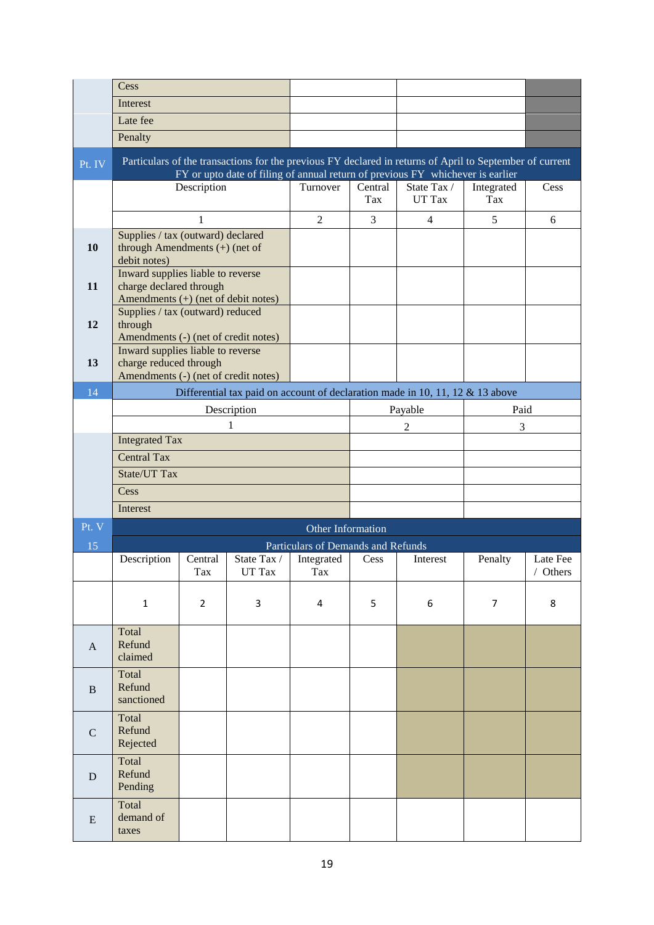|               | Cess                                                                                                |                |                       |                    |                |                                                                                                                                                                                            |                   |                    |
|---------------|-----------------------------------------------------------------------------------------------------|----------------|-----------------------|--------------------|----------------|--------------------------------------------------------------------------------------------------------------------------------------------------------------------------------------------|-------------------|--------------------|
|               | Interest                                                                                            |                |                       |                    |                |                                                                                                                                                                                            |                   |                    |
|               | Late fee                                                                                            |                |                       |                    |                |                                                                                                                                                                                            |                   |                    |
|               | Penalty                                                                                             |                |                       |                    |                |                                                                                                                                                                                            |                   |                    |
| Pt. IV        |                                                                                                     |                |                       |                    |                | Particulars of the transactions for the previous FY declared in returns of April to September of current<br>FY or upto date of filing of annual return of previous FY whichever is earlier |                   |                    |
|               |                                                                                                     | Description    |                       | Turnover           | Central<br>Tax | State Tax /<br>UT Tax                                                                                                                                                                      | Integrated<br>Tax | Cess               |
|               |                                                                                                     | 1              |                       | $\overline{2}$     | 3              | $\overline{4}$                                                                                                                                                                             | 5                 | 6                  |
| 10            | Supplies / tax (outward) declared<br>through Amendments $(+)$ (net of<br>debit notes)               |                |                       |                    |                |                                                                                                                                                                                            |                   |                    |
| 11            | Inward supplies liable to reverse<br>charge declared through<br>Amendments (+) (net of debit notes) |                |                       |                    |                |                                                                                                                                                                                            |                   |                    |
| 12            | Supplies / tax (outward) reduced<br>through<br>Amendments (-) (net of credit notes)                 |                |                       |                    |                |                                                                                                                                                                                            |                   |                    |
| 13            | Inward supplies liable to reverse<br>charge reduced through<br>Amendments (-) (net of credit notes) |                |                       |                    |                |                                                                                                                                                                                            |                   |                    |
| 14            | Differential tax paid on account of declaration made in 10, 11, 12 $&$ 13 above                     |                |                       |                    |                |                                                                                                                                                                                            |                   |                    |
|               | Description                                                                                         |                |                       |                    | Payable        |                                                                                                                                                                                            | Paid              |                    |
|               | 1                                                                                                   |                |                       |                    | 2              |                                                                                                                                                                                            | 3                 |                    |
|               | <b>Integrated Tax</b>                                                                               |                |                       |                    |                |                                                                                                                                                                                            |                   |                    |
|               | <b>Central Tax</b><br>State/UT Tax                                                                  |                |                       |                    |                |                                                                                                                                                                                            |                   |                    |
|               | Cess                                                                                                |                |                       |                    |                |                                                                                                                                                                                            |                   |                    |
|               | Interest                                                                                            |                |                       |                    |                |                                                                                                                                                                                            |                   |                    |
| Pt. V         |                                                                                                     |                |                       |                    |                |                                                                                                                                                                                            |                   |                    |
| 15            | Other Information<br>Particulars of Demands and Refunds                                             |                |                       |                    |                |                                                                                                                                                                                            |                   |                    |
|               | Description                                                                                         | Central<br>Tax | State Tax /<br>UT Tax | Integrated<br>l ax | Cess           | Interest                                                                                                                                                                                   | Penalty           | Late Fee<br>Others |
|               | $\mathbf{1}$                                                                                        | $\overline{2}$ | 3                     | 4                  | 5              | 6                                                                                                                                                                                          | $\overline{7}$    | 8                  |
| A             | Total<br>Refund<br>claimed                                                                          |                |                       |                    |                |                                                                                                                                                                                            |                   |                    |
| <sub>B</sub>  | Total<br>Refund<br>sanctioned                                                                       |                |                       |                    |                |                                                                                                                                                                                            |                   |                    |
| $\mathcal{C}$ | Total<br>Refund<br>Rejected                                                                         |                |                       |                    |                |                                                                                                                                                                                            |                   |                    |
| D             | Total<br>Refund<br>Pending                                                                          |                |                       |                    |                |                                                                                                                                                                                            |                   |                    |
| E             | Total<br>demand of<br>taxes                                                                         |                |                       |                    |                |                                                                                                                                                                                            |                   |                    |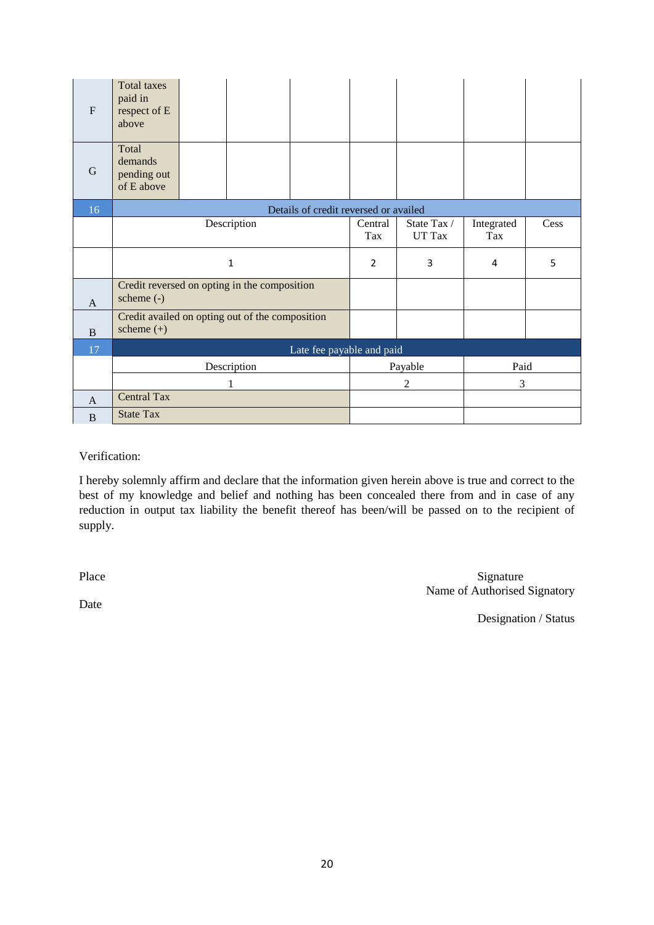| F              | <b>Total taxes</b><br>paid in<br>respect of E<br>above          |  |  |                                       |                       |                   |      |  |
|----------------|-----------------------------------------------------------------|--|--|---------------------------------------|-----------------------|-------------------|------|--|
| G              | Total<br>demands<br>pending out<br>of E above                   |  |  |                                       |                       |                   |      |  |
| 16             |                                                                 |  |  | Details of credit reversed or availed |                       |                   |      |  |
|                | Description                                                     |  |  | Central<br>Tax                        | State Tax /<br>UT Tax | Integrated<br>Tax | Cess |  |
|                | $\mathbf{1}$                                                    |  |  | $\overline{2}$                        | 3                     | 4                 | 5    |  |
| $\mathbf{A}$   | Credit reversed on opting in the composition<br>scheme $(-)$    |  |  |                                       |                       |                   |      |  |
| $\overline{B}$ | Credit availed on opting out of the composition<br>scheme $(+)$ |  |  |                                       |                       |                   |      |  |
| 17             | Late fee payable and paid                                       |  |  |                                       |                       |                   |      |  |
|                | Description                                                     |  |  | Payable                               |                       | Paid              |      |  |
|                | 1                                                               |  |  |                                       | $\overline{2}$        | 3                 |      |  |
| A              | <b>Central Tax</b>                                              |  |  |                                       |                       |                   |      |  |
| B              | <b>State Tax</b>                                                |  |  |                                       |                       |                   |      |  |

## Verification:

I hereby solemnly affirm and declare that the information given herein above is true and correct to the best of my knowledge and belief and nothing has been concealed there from and in case of any reduction in output tax liability the benefit thereof has been/will be passed on to the recipient of supply.

Place Signature Signature Name of Authorised Signatory

Date

Designation / Status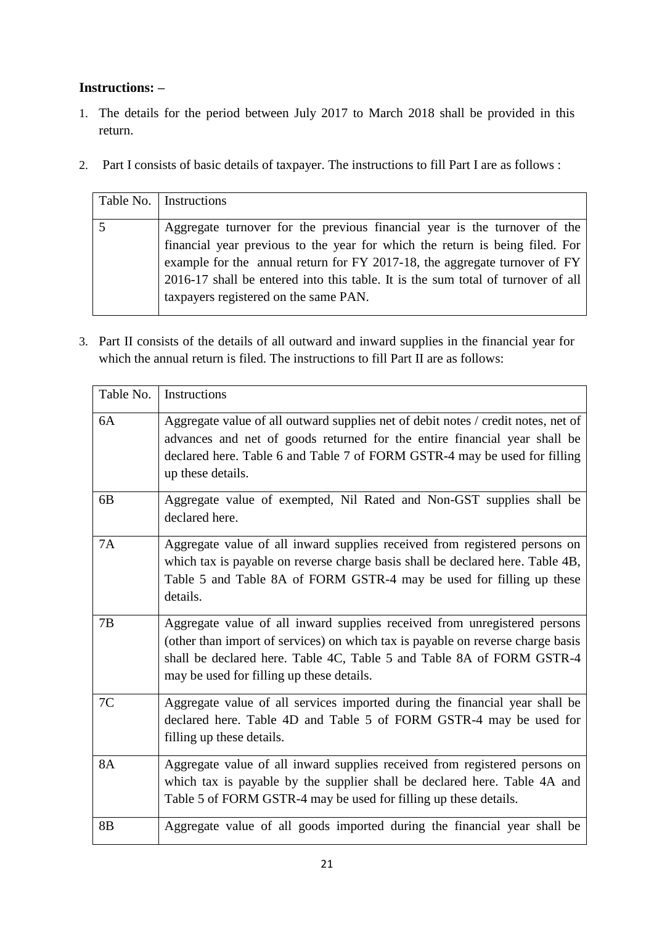## **Instructions: –**

- 1. The details for the period between July 2017 to March 2018 shall be provided in this return.
- 2. Part I consists of basic details of taxpayer. The instructions to fill Part I are as follows :

| Table No.   Instructions                                                                                                                                                                                                                                                                                                                                             |
|----------------------------------------------------------------------------------------------------------------------------------------------------------------------------------------------------------------------------------------------------------------------------------------------------------------------------------------------------------------------|
| Aggregate turnover for the previous financial year is the turnover of the<br>financial year previous to the year for which the return is being filed. For<br>example for the annual return for FY 2017-18, the aggregate turnover of FY<br>2016-17 shall be entered into this table. It is the sum total of turnover of all<br>taxpayers registered on the same PAN. |

3. Part II consists of the details of all outward and inward supplies in the financial year for which the annual return is filed. The instructions to fill Part II are as follows:

| Table No.      | Instructions                                                                                                                                                                                                                                                                       |
|----------------|------------------------------------------------------------------------------------------------------------------------------------------------------------------------------------------------------------------------------------------------------------------------------------|
| 6A             | Aggregate value of all outward supplies net of debit notes / credit notes, net of<br>advances and net of goods returned for the entire financial year shall be<br>declared here. Table 6 and Table 7 of FORM GSTR-4 may be used for filling<br>up these details.                   |
| 6 <sub>B</sub> | Aggregate value of exempted, Nil Rated and Non-GST supplies shall be<br>declared here.                                                                                                                                                                                             |
| 7A             | Aggregate value of all inward supplies received from registered persons on<br>which tax is payable on reverse charge basis shall be declared here. Table 4B,<br>Table 5 and Table 8A of FORM GSTR-4 may be used for filling up these<br>details.                                   |
| 7B             | Aggregate value of all inward supplies received from unregistered persons<br>(other than import of services) on which tax is payable on reverse charge basis<br>shall be declared here. Table 4C, Table 5 and Table 8A of FORM GSTR-4<br>may be used for filling up these details. |
| 7C             | Aggregate value of all services imported during the financial year shall be<br>declared here. Table 4D and Table 5 of FORM GSTR-4 may be used for<br>filling up these details.                                                                                                     |
| 8A             | Aggregate value of all inward supplies received from registered persons on<br>which tax is payable by the supplier shall be declared here. Table 4A and<br>Table 5 of FORM GSTR-4 may be used for filling up these details.                                                        |
| 8B             | Aggregate value of all goods imported during the financial year shall be                                                                                                                                                                                                           |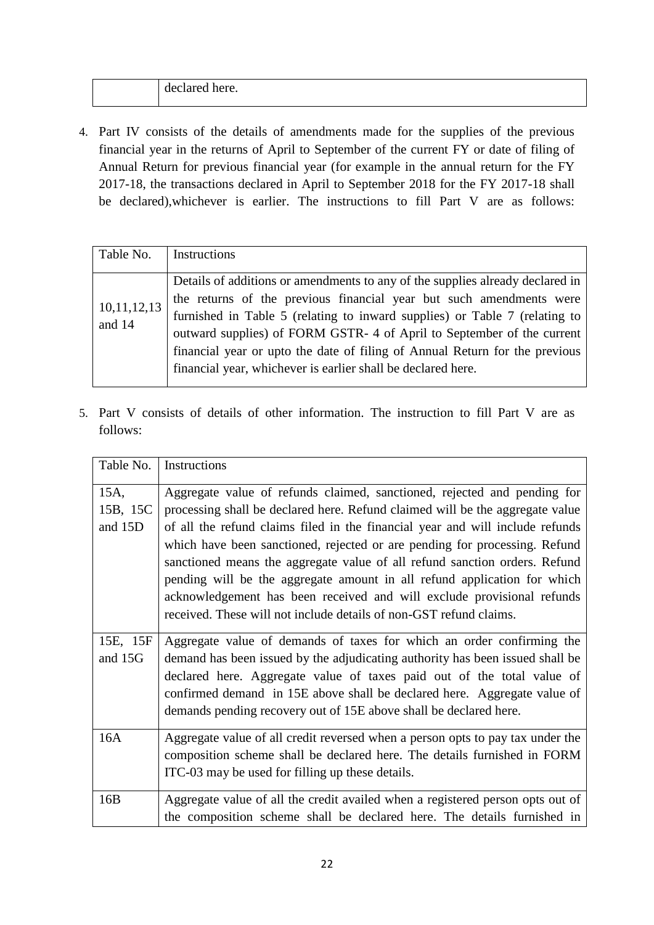| 21 A<br>$\cdots$<br>nere<br>. . ⊢<br>. .<br>.v.<br>. |  |
|------------------------------------------------------|--|
|                                                      |  |

4. Part IV consists of the details of amendments made for the supplies of the previous financial year in the returns of April to September of the current FY or date of filing of Annual Return for previous financial year (for example in the annual return for the FY 2017-18, the transactions declared in April to September 2018 for the FY 2017-18 shall be declared),whichever is earlier. The instructions to fill Part V are as follows:

| Table No.             | Instructions                                                                                                                                                                                                                                                                                                                                                                                                                                                |
|-----------------------|-------------------------------------------------------------------------------------------------------------------------------------------------------------------------------------------------------------------------------------------------------------------------------------------------------------------------------------------------------------------------------------------------------------------------------------------------------------|
| 10,11,12,13<br>and 14 | Details of additions or amendments to any of the supplies already declared in<br>the returns of the previous financial year but such amendments were<br>furnished in Table 5 (relating to inward supplies) or Table 7 (relating to<br>outward supplies) of FORM GSTR- 4 of April to September of the current<br>financial year or upto the date of filing of Annual Return for the previous<br>financial year, whichever is earlier shall be declared here. |

5. Part V consists of details of other information. The instruction to fill Part V are as follows:

| Table No.                   | Instructions                                                                                                                                                                                                                                                                                                                                                                                                                                                                                                                                                                                                                       |
|-----------------------------|------------------------------------------------------------------------------------------------------------------------------------------------------------------------------------------------------------------------------------------------------------------------------------------------------------------------------------------------------------------------------------------------------------------------------------------------------------------------------------------------------------------------------------------------------------------------------------------------------------------------------------|
| 15A,<br>15B, 15C<br>and 15D | Aggregate value of refunds claimed, sanctioned, rejected and pending for<br>processing shall be declared here. Refund claimed will be the aggregate value<br>of all the refund claims filed in the financial year and will include refunds<br>which have been sanctioned, rejected or are pending for processing. Refund<br>sanctioned means the aggregate value of all refund sanction orders. Refund<br>pending will be the aggregate amount in all refund application for which<br>acknowledgement has been received and will exclude provisional refunds<br>received. These will not include details of non-GST refund claims. |
| 15E, 15F<br>and 15G         | Aggregate value of demands of taxes for which an order confirming the<br>demand has been issued by the adjudicating authority has been issued shall be<br>declared here. Aggregate value of taxes paid out of the total value of<br>confirmed demand in 15E above shall be declared here. Aggregate value of<br>demands pending recovery out of 15E above shall be declared here.                                                                                                                                                                                                                                                  |
| 16A                         | Aggregate value of all credit reversed when a person opts to pay tax under the<br>composition scheme shall be declared here. The details furnished in FORM<br>ITC-03 may be used for filling up these details.                                                                                                                                                                                                                                                                                                                                                                                                                     |
| 16B                         | Aggregate value of all the credit availed when a registered person opts out of<br>the composition scheme shall be declared here. The details furnished in                                                                                                                                                                                                                                                                                                                                                                                                                                                                          |